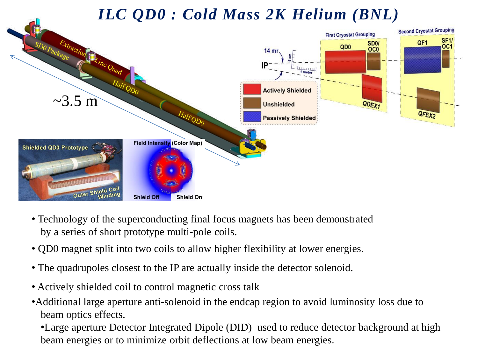## *ILC QD0 : Cold Mass 2K Helium (BNL)*



- Technology of the superconducting final focus magnets has been demonstrated by a series of short prototype multi-pole coils.
- QD0 magnet split into two coils to allow higher flexibility at lower energies.
- The quadrupoles closest to the IP are actually inside the detector solenoid.
- Actively shielded coil to control magnetic cross talk
- •Additional large aperture anti-solenoid in the endcap region to avoid luminosity loss due to beam optics effects.

•Large aperture Detector Integrated Dipole (DID) used to reduce detector background at high beam energies or to minimize orbit deflections at low beam energies.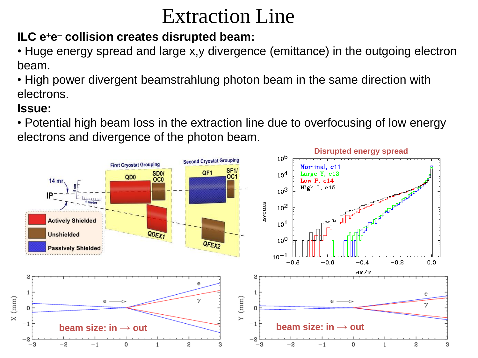# Extraction Line

### **ILC e** +**e** - **collision creates disrupted beam:**

• Huge energy spread and large x,y divergence (emittance) in the outgoing electron beam.

• High power divergent beamstrahlung photon beam in the same direction with electrons.

#### **Issue:**

• Potential high beam loss in the extraction line due to overfocusing of low energy electrons and divergence of the photon beam.

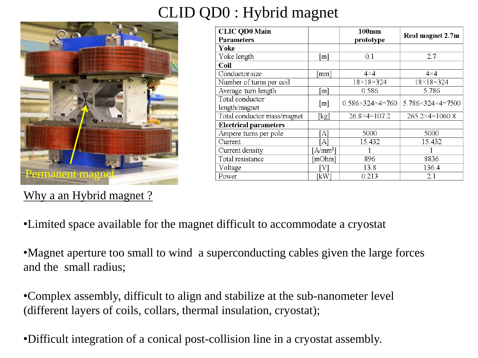# CLID QD0 : Hybrid magnet



Why a an Hybrid magnet ?

| <b>CLIC QD0 Main</b><br><b>Parameters</b> |                 | $100$ mm<br>prototype             | Real magnet 2.7m      |
|-------------------------------------------|-----------------|-----------------------------------|-----------------------|
| Yoke                                      |                 |                                   |                       |
| Yoke length                               | m               | 0.1                               | 2.7                   |
| Coil                                      |                 |                                   |                       |
| Conductor size                            | mm              | $4\times4$                        | $4\times4$            |
| Number of turns per coil                  |                 | $18\times18=324$                  | $18\times18=324$      |
| Average turn length                       | l m l           | 0.586                             | 5.786                 |
| Total conductor                           | [m]             | $0.586 \times 324 \times 4 = 760$ | 5.786×324×4=7500      |
| length/magnet                             |                 |                                   |                       |
| Total conductor mass/magnet               | [kg]            | $26.8 \times 4 = 107.2$           | $265.2\times4=1060.8$ |
| <b>Electrical parameters</b>              |                 |                                   |                       |
| Ampere turns per pole                     | [A]             | 5000                              | 5000                  |
| Current                                   | $\vert A \vert$ | 15.432                            | 15.432                |
| Current density                           | $[A/mm^2]$      |                                   |                       |
| Total resistance                          | [mOhm]          | 896                               | 8836                  |
| Voltage                                   | V               | 13.8                              | 136.4                 |
| Power                                     | [kW]            | 0.213                             | 2.1                   |

•Limited space available for the magnet difficult to accommodate a cryostat

•Magnet aperture too small to wind a superconducting cables given the large forces and the small radius;

•Complex assembly, difficult to align and stabilize at the sub-nanometer level (different layers of coils, collars, thermal insulation, cryostat);

•Difficult integration of a conical post-collision line in a cryostat assembly.